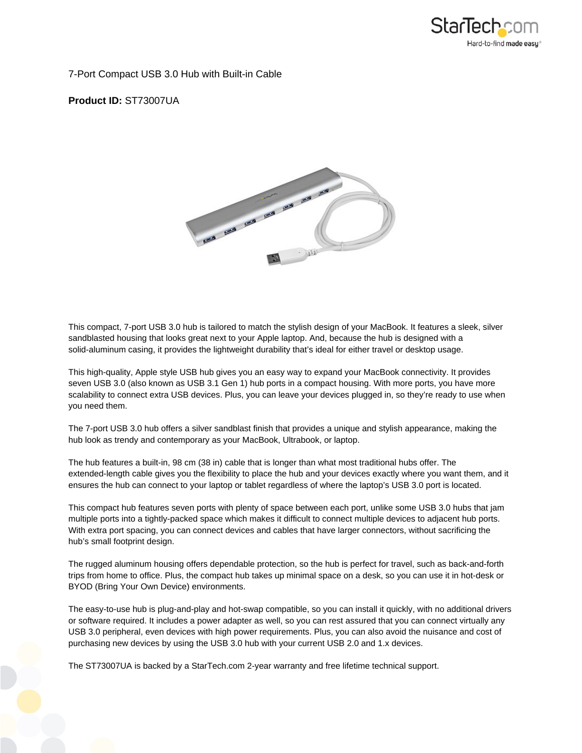

7-Port Compact USB 3.0 Hub with Built-in Cable

**Product ID:** ST73007UA



This compact, 7-port USB 3.0 hub is tailored to match the stylish design of your MacBook. It features a sleek, silver sandblasted housing that looks great next to your Apple laptop. And, because the hub is designed with a solid-aluminum casing, it provides the lightweight durability that's ideal for either travel or desktop usage.

This high-quality, Apple style USB hub gives you an easy way to expand your MacBook connectivity. It provides seven USB 3.0 (also known as USB 3.1 Gen 1) hub ports in a compact housing. With more ports, you have more scalability to connect extra USB devices. Plus, you can leave your devices plugged in, so they're ready to use when you need them.

The 7-port USB 3.0 hub offers a silver sandblast finish that provides a unique and stylish appearance, making the hub look as trendy and contemporary as your MacBook, Ultrabook, or laptop.

The hub features a built-in, 98 cm (38 in) cable that is longer than what most traditional hubs offer. The extended-length cable gives you the flexibility to place the hub and your devices exactly where you want them, and it ensures the hub can connect to your laptop or tablet regardless of where the laptop's USB 3.0 port is located.

This compact hub features seven ports with plenty of space between each port, unlike some USB 3.0 hubs that jam multiple ports into a tightly-packed space which makes it difficult to connect multiple devices to adjacent hub ports. With extra port spacing, you can connect devices and cables that have larger connectors, without sacrificing the hub's small footprint design.

The rugged aluminum housing offers dependable protection, so the hub is perfect for travel, such as back-and-forth trips from home to office. Plus, the compact hub takes up minimal space on a desk, so you can use it in hot-desk or BYOD (Bring Your Own Device) environments.

The easy-to-use hub is plug-and-play and hot-swap compatible, so you can install it quickly, with no additional drivers or software required. It includes a power adapter as well, so you can rest assured that you can connect virtually any USB 3.0 peripheral, even devices with high power requirements. Plus, you can also avoid the nuisance and cost of purchasing new devices by using the USB 3.0 hub with your current USB 2.0 and 1.x devices.

The ST73007UA is backed by a StarTech.com 2-year warranty and free lifetime technical support.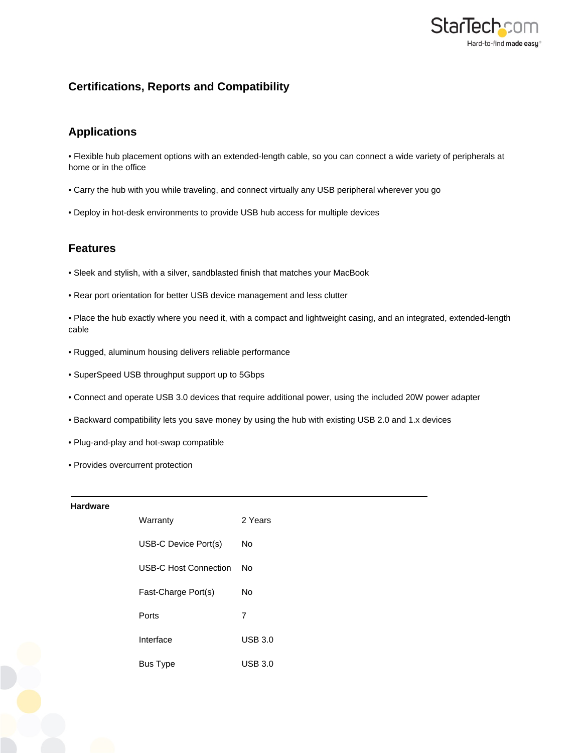

# **Certifications, Reports and Compatibility**

## **Applications**

• Flexible hub placement options with an extended-length cable, so you can connect a wide variety of peripherals at home or in the office

- Carry the hub with you while traveling, and connect virtually any USB peripheral wherever you go
- Deploy in hot-desk environments to provide USB hub access for multiple devices

### **Features**

- Sleek and stylish, with a silver, sandblasted finish that matches your MacBook
- Rear port orientation for better USB device management and less clutter
- Place the hub exactly where you need it, with a compact and lightweight casing, and an integrated, extended-length cable
- Rugged, aluminum housing delivers reliable performance
- SuperSpeed USB throughput support up to 5Gbps
- Connect and operate USB 3.0 devices that require additional power, using the included 20W power adapter
- Backward compatibility lets you save money by using the hub with existing USB 2.0 and 1.x devices
- Plug-and-play and hot-swap compatible
- Provides overcurrent protection

### **Hardware**

| Warranty                     | 2 Years |
|------------------------------|---------|
| USB-C Device Port(s)         | Nο      |
| <b>USB-C Host Connection</b> | N٥      |
| Fast-Charge Port(s)          | N٥      |
| Ports                        | 7       |
| Interface                    | USB 3.0 |
| <b>Bus Type</b>              | USB 3.0 |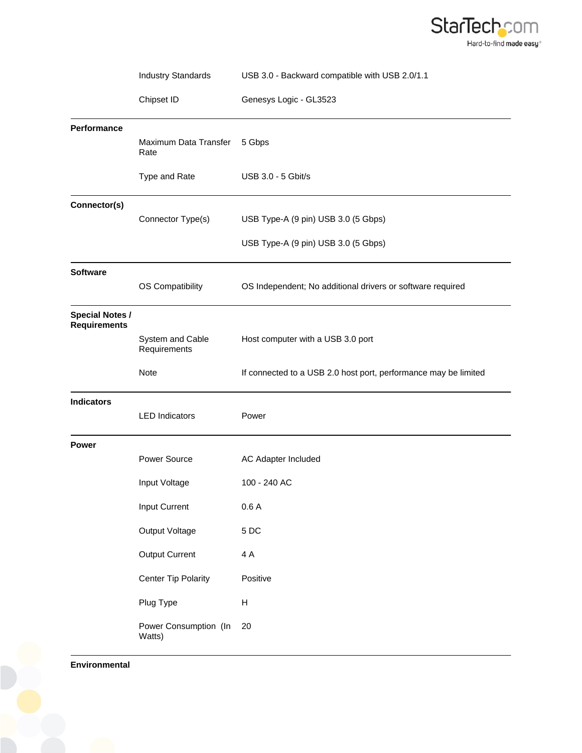

|                                               | <b>Industry Standards</b>                                                                                                                   | USB 3.0 - Backward compatible with USB 2.0/1.1                                          |
|-----------------------------------------------|---------------------------------------------------------------------------------------------------------------------------------------------|-----------------------------------------------------------------------------------------|
|                                               | Chipset ID                                                                                                                                  | Genesys Logic - GL3523                                                                  |
| Performance                                   | Maximum Data Transfer<br>Rate                                                                                                               | 5 Gbps                                                                                  |
|                                               | Type and Rate                                                                                                                               | USB 3.0 - 5 Gbit/s                                                                      |
| Connector(s)                                  | Connector Type(s)                                                                                                                           | USB Type-A (9 pin) USB 3.0 (5 Gbps)<br>USB Type-A (9 pin) USB 3.0 (5 Gbps)              |
| <b>Software</b>                               | OS Compatibility                                                                                                                            | OS Independent; No additional drivers or software required                              |
| <b>Special Notes /</b><br><b>Requirements</b> | System and Cable<br>Requirements                                                                                                            | Host computer with a USB 3.0 port                                                       |
|                                               | Note                                                                                                                                        | If connected to a USB 2.0 host port, performance may be limited                         |
| <b>Indicators</b>                             | <b>LED</b> Indicators                                                                                                                       | Power                                                                                   |
| <b>Power</b>                                  | <b>Power Source</b><br>Input Voltage<br>Input Current<br>Output Voltage<br><b>Output Current</b><br><b>Center Tip Polarity</b><br>Plug Type | AC Adapter Included<br>100 - 240 AC<br>0.6A<br>$5\;\mathrm{DC}$<br>4 A<br>Positive<br>Н |
|                                               | Power Consumption (In<br>Watts)                                                                                                             | 20                                                                                      |

**Environmental**